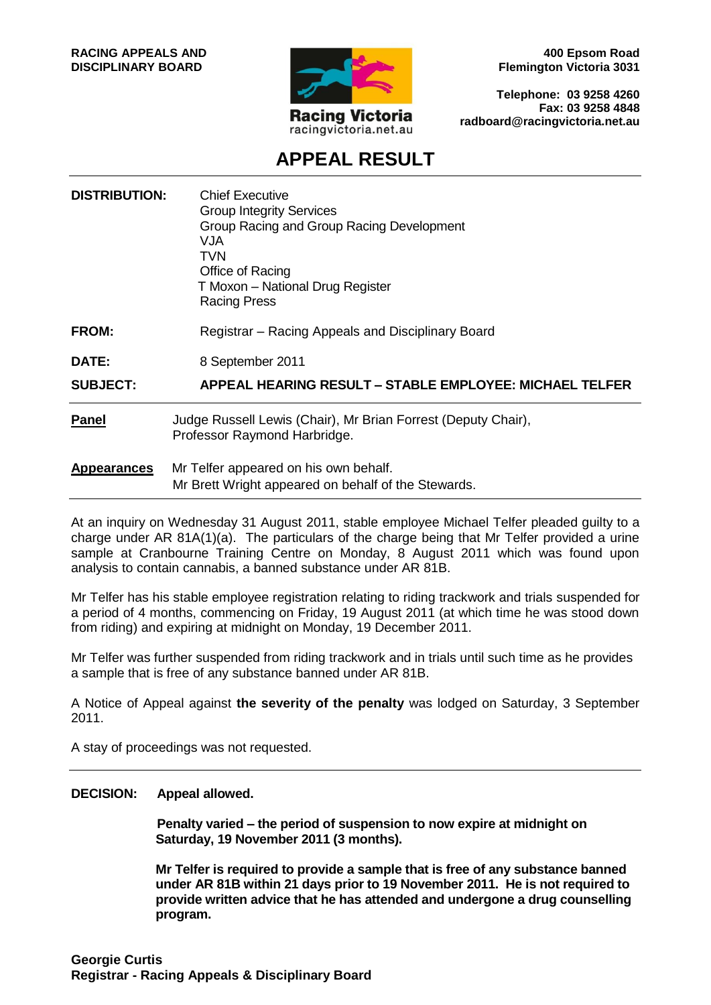

**400 Epsom Road Flemington Victoria 3031**

**Telephone: 03 9258 4260 Fax: 03 9258 4848 radboard@racingvictoria.net.au**

## **APPEAL RESULT**

| <b>DISTRIBUTION:</b> | <b>Chief Executive</b><br><b>Group Integrity Services</b><br>Group Racing and Group Racing Development<br>VJA<br>TVN<br>Office of Racing<br>T Moxon - National Drug Register<br><b>Racing Press</b> |
|----------------------|-----------------------------------------------------------------------------------------------------------------------------------------------------------------------------------------------------|
| <b>FROM:</b>         | Registrar – Racing Appeals and Disciplinary Board                                                                                                                                                   |
| <b>DATE:</b>         | 8 September 2011                                                                                                                                                                                    |
| <b>SUBJECT:</b>      | <b>APPEAL HEARING RESULT - STABLE EMPLOYEE: MICHAEL TELFER</b>                                                                                                                                      |
| <b>Panel</b>         | Judge Russell Lewis (Chair), Mr Brian Forrest (Deputy Chair),<br>Professor Raymond Harbridge.                                                                                                       |
| <b>Appearances</b>   | Mr Telfer appeared on his own behalf.<br>Mr Brett Wright appeared on behalf of the Stewards.                                                                                                        |

At an inquiry on Wednesday 31 August 2011, stable employee Michael Telfer pleaded guilty to a charge under AR 81A(1)(a). The particulars of the charge being that Mr Telfer provided a urine sample at Cranbourne Training Centre on Monday, 8 August 2011 which was found upon analysis to contain cannabis, a banned substance under AR 81B.

Mr Telfer has his stable employee registration relating to riding trackwork and trials suspended for a period of 4 months, commencing on Friday, 19 August 2011 (at which time he was stood down from riding) and expiring at midnight on Monday, 19 December 2011.

Mr Telfer was further suspended from riding trackwork and in trials until such time as he provides a sample that is free of any substance banned under AR 81B.

A Notice of Appeal against **the severity of the penalty** was lodged on Saturday, 3 September 2011.

A stay of proceedings was not requested.

#### **DECISION: Appeal allowed.**

**Penalty varied – the period of suspension to now expire at midnight on Saturday, 19 November 2011 (3 months).**

**Mr Telfer is required to provide a sample that is free of any substance banned under AR 81B within 21 days prior to 19 November 2011. He is not required to provide written advice that he has attended and undergone a drug counselling program.**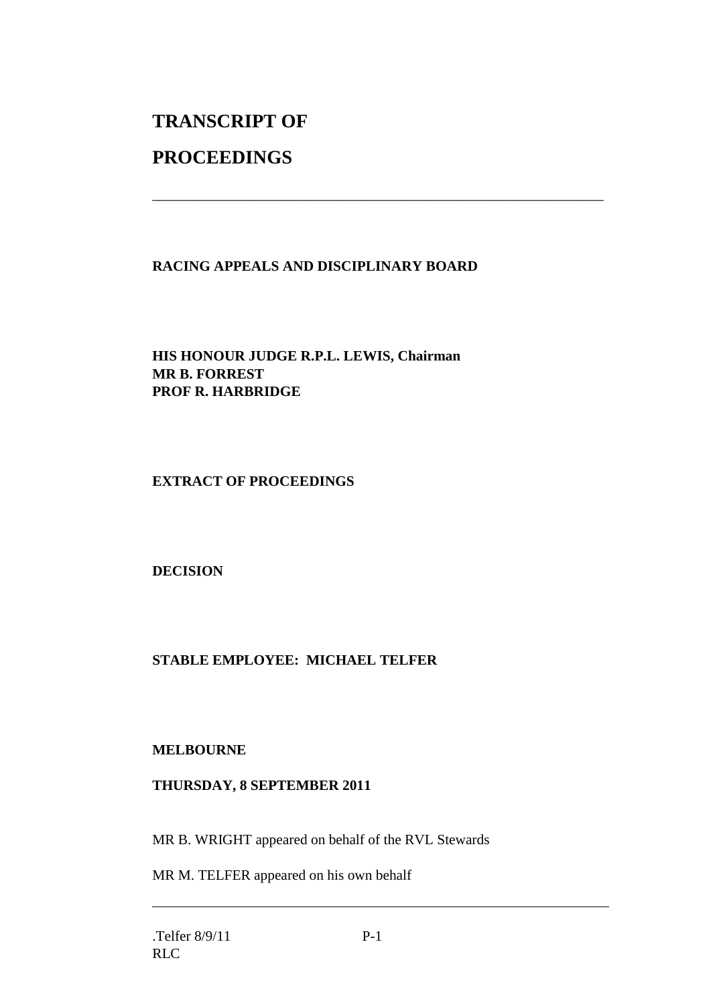# **TRANSCRIPT OF**

## **PROCEEDINGS**

### **RACING APPEALS AND DISCIPLINARY BOARD**

\_\_\_\_\_\_\_\_\_\_\_\_\_\_\_\_\_\_\_\_\_\_\_\_\_\_\_\_\_\_\_\_\_\_\_\_\_\_\_\_\_\_\_\_\_\_\_\_\_\_\_\_\_\_\_\_\_\_\_\_\_\_\_

**HIS HONOUR JUDGE R.P.L. LEWIS, Chairman MR B. FORREST PROF R. HARBRIDGE**

**EXTRACT OF PROCEEDINGS**

**DECISION**

#### **STABLE EMPLOYEE: MICHAEL TELFER**

#### **MELBOURNE**

#### **THURSDAY, 8 SEPTEMBER 2011**

MR B. WRIGHT appeared on behalf of the RVL Stewards

MR M. TELFER appeared on his own behalf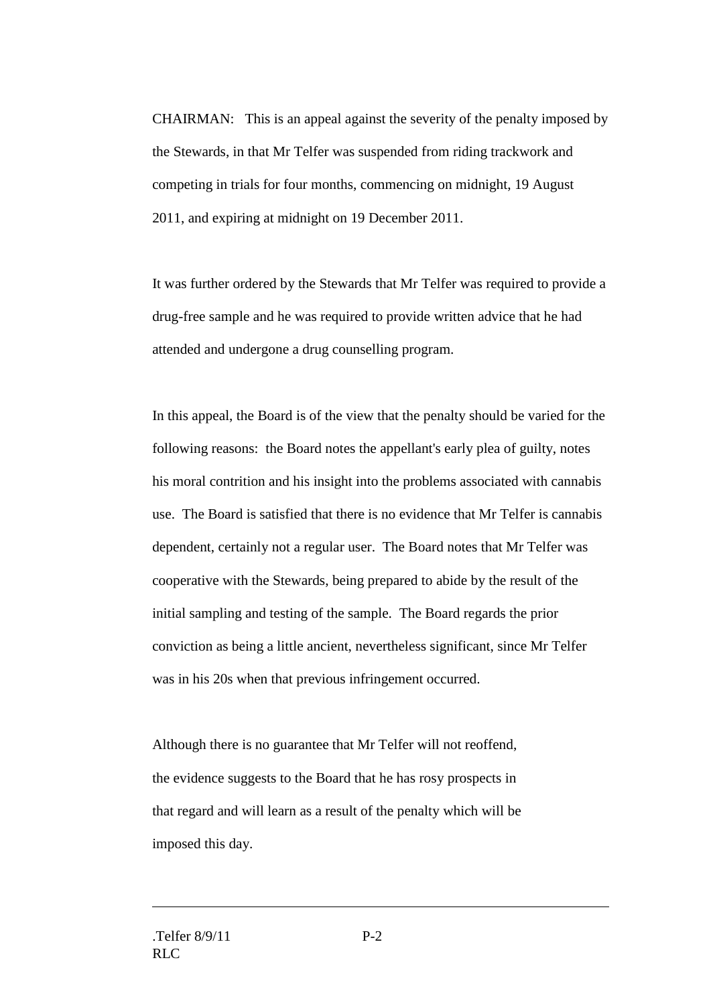CHAIRMAN: This is an appeal against the severity of the penalty imposed by the Stewards, in that Mr Telfer was suspended from riding trackwork and competing in trials for four months, commencing on midnight, 19 August 2011, and expiring at midnight on 19 December 2011.

It was further ordered by the Stewards that Mr Telfer was required to provide a drug-free sample and he was required to provide written advice that he had attended and undergone a drug counselling program.

In this appeal, the Board is of the view that the penalty should be varied for the following reasons: the Board notes the appellant's early plea of guilty, notes his moral contrition and his insight into the problems associated with cannabis use. The Board is satisfied that there is no evidence that Mr Telfer is cannabis dependent, certainly not a regular user. The Board notes that Mr Telfer was cooperative with the Stewards, being prepared to abide by the result of the initial sampling and testing of the sample. The Board regards the prior conviction as being a little ancient, nevertheless significant, since Mr Telfer was in his 20s when that previous infringement occurred.

Although there is no guarantee that Mr Telfer will not reoffend, the evidence suggests to the Board that he has rosy prospects in that regard and will learn as a result of the penalty which will be imposed this day.